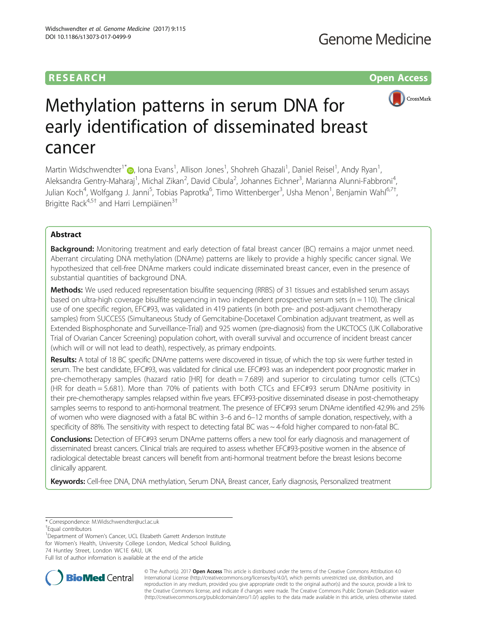# **RESEARCH CHILD CONTROL** CONTROL CONTROL CONTROL CONTROL CONTROL CONTROL CONTROL CONTROL CONTROL CONTROL CONTROL CONTROL CONTROL CONTROL CONTROL CONTROL CONTROL CONTROL CONTROL CONTROL CONTROL CONTROL CONTROL CONTROL CONTR



# Methylation patterns in serum DNA for early identification of disseminated breast cancer

Martin Widschwendter<sup>1[\\*](http://orcid.org/0000-0002-7778-8380)</sup>®, Iona Evans<sup>1</sup>, Allison Jones<sup>1</sup>, Shohreh Ghazali<sup>1</sup>, Daniel Reisel<sup>1</sup>, Andy Ryan<sup>1</sup> , Aleksandra Gentry-Maharaj<sup>1</sup>, Michal Zikan<sup>2</sup>, David Cibula<sup>2</sup>, Johannes Eichner<sup>3</sup>, Marianna Alunni-Fabbroni<sup>4</sup> , Julian Koch<sup>4</sup>, Wolfgang J. Janni<sup>5</sup>, Tobias Paprotka<sup>6</sup>, Timo Wittenberger<sup>3</sup>, Usha Menon<sup>1</sup>, Benjamin Wahl<sup>6,7†</sup> , Brigitte Rack<sup>4,5†</sup> and Harri Lempiäinen<sup>3†</sup>

# Abstract

**Background:** Monitoring treatment and early detection of fatal breast cancer (BC) remains a major unmet need. Aberrant circulating DNA methylation (DNAme) patterns are likely to provide a highly specific cancer signal. We hypothesized that cell-free DNAme markers could indicate disseminated breast cancer, even in the presence of substantial quantities of background DNA.

**Methods:** We used reduced representation bisulfite sequencing (RRBS) of 31 tissues and established serum assays based on ultra-high coverage bisulfite sequencing in two independent prospective serum sets ( $n = 110$ ). The clinical use of one specific region, EFC#93, was validated in 419 patients (in both pre- and post-adjuvant chemotherapy samples) from SUCCESS (Simultaneous Study of Gemcitabine-Docetaxel Combination adjuvant treatment, as well as Extended Bisphosphonate and Surveillance-Trial) and 925 women (pre-diagnosis) from the UKCTOCS (UK Collaborative Trial of Ovarian Cancer Screening) population cohort, with overall survival and occurrence of incident breast cancer (which will or will not lead to death), respectively, as primary endpoints.

Results: A total of 18 BC specific DNAme patterns were discovered in tissue, of which the top six were further tested in serum. The best candidate, EFC#93, was validated for clinical use. EFC#93 was an independent poor prognostic marker in pre-chemotherapy samples (hazard ratio [HR] for death = 7.689) and superior to circulating tumor cells (CTCs) (HR for death = 5.681). More than 70% of patients with both CTCs and EFC#93 serum DNAme positivity in their pre-chemotherapy samples relapsed within five years. EFC#93-positive disseminated disease in post-chemotherapy samples seems to respond to anti-hormonal treatment. The presence of EFC#93 serum DNAme identified 42.9% and 25% of women who were diagnosed with a fatal BC within 3–6 and 6–12 months of sample donation, respectively, with a specificity of 88%. The sensitivity with respect to detecting fatal BC was ~ 4-fold higher compared to non-fatal BC.

**Conclusions:** Detection of EFC#93 serum DNAme patterns offers a new tool for early diagnosis and management of disseminated breast cancers. Clinical trials are required to assess whether EFC#93-positive women in the absence of radiological detectable breast cancers will benefit from anti-hormonal treatment before the breast lesions become clinically apparent.

Keywords: Cell-free DNA, DNA methylation, Serum DNA, Breast cancer, Early diagnosis, Personalized treatment

<sup>1</sup>Department of Women's Cancer, UCL Elizabeth Garrett Anderson Institute for Women's Health, University College London, Medical School Building, 74 Huntley Street, London WC1E 6AU, UK

Full list of author information is available at the end of the article



© The Author(s). 2017 **Open Access** This article is distributed under the terms of the Creative Commons Attribution 4.0 International License [\(http://creativecommons.org/licenses/by/4.0/](http://creativecommons.org/licenses/by/4.0/)), which permits unrestricted use, distribution, and reproduction in any medium, provided you give appropriate credit to the original author(s) and the source, provide a link to the Creative Commons license, and indicate if changes were made. The Creative Commons Public Domain Dedication waiver [\(http://creativecommons.org/publicdomain/zero/1.0/](http://creativecommons.org/publicdomain/zero/1.0/)) applies to the data made available in this article, unless otherwise stated.

<sup>\*</sup> Correspondence: [M.Widschwendter@ucl.ac.uk](mailto:M.Widschwendter@ucl.ac.uk) †

<sup>&</sup>lt;sup>†</sup>Equal contributors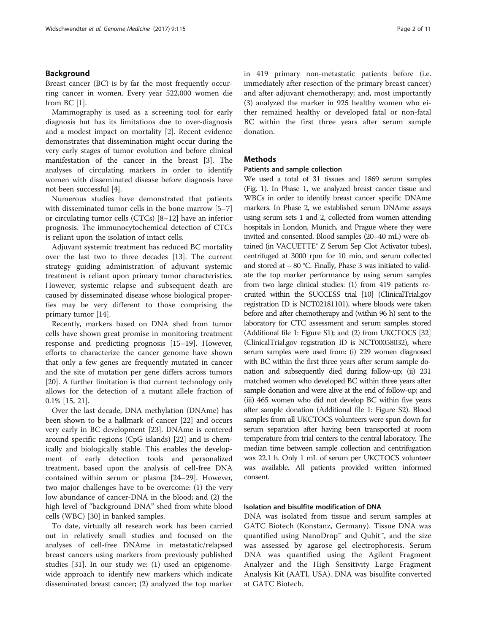# Background

Breast cancer (BC) is by far the most frequently occurring cancer in women. Every year 522,000 women die from BC [\[1](#page-9-0)].

Mammography is used as a screening tool for early diagnosis but has its limitations due to over-diagnosis and a modest impact on mortality [[2\]](#page-9-0). Recent evidence demonstrates that dissemination might occur during the very early stages of tumor evolution and before clinical manifestation of the cancer in the breast [\[3](#page-9-0)]. The analyses of circulating markers in order to identify women with disseminated disease before diagnosis have not been successful [\[4](#page-9-0)].

Numerous studies have demonstrated that patients with disseminated tumor cells in the bone marrow [[5](#page-9-0)–[7](#page-9-0)] or circulating tumor cells (CTCs) [\[8](#page-9-0)–[12](#page-9-0)] have an inferior prognosis. The immunocytochemical detection of CTCs is reliant upon the isolation of intact cells.

Adjuvant systemic treatment has reduced BC mortality over the last two to three decades [\[13](#page-9-0)]. The current strategy guiding administration of adjuvant systemic treatment is reliant upon primary tumor characteristics. However, systemic relapse and subsequent death are caused by disseminated disease whose biological properties may be very different to those comprising the primary tumor [\[14](#page-9-0)].

Recently, markers based on DNA shed from tumor cells have shown great promise in monitoring treatment response and predicting prognosis [[15](#page-9-0)–[19](#page-9-0)]. However, efforts to characterize the cancer genome have shown that only a few genes are frequently mutated in cancer and the site of mutation per gene differs across tumors [[20\]](#page-9-0). A further limitation is that current technology only allows for the detection of a mutant allele fraction of 0.1% [[15](#page-9-0), [21](#page-9-0)].

Over the last decade, DNA methylation (DNAme) has been shown to be a hallmark of cancer [\[22](#page-9-0)] and occurs very early in BC development [[23](#page-9-0)]. DNAme is centered around specific regions (CpG islands) [[22\]](#page-9-0) and is chemically and biologically stable. This enables the development of early detection tools and personalized treatment, based upon the analysis of cell-free DNA contained within serum or plasma [\[24](#page-9-0)–[29\]](#page-9-0). However, two major challenges have to be overcome: (1) the very low abundance of cancer-DNA in the blood; and (2) the high level of "background DNA" shed from white blood cells (WBC) [\[30](#page-9-0)] in banked samples.

To date, virtually all research work has been carried out in relatively small studies and focused on the analyses of cell-free DNAme in metastatic/relapsed breast cancers using markers from previously published studies [[31\]](#page-9-0). In our study we: (1) used an epigenomewide approach to identify new markers which indicate disseminated breast cancer; (2) analyzed the top marker in 419 primary non-metastatic patients before (i.e. immediately after resection of the primary breast cancer) and after adjuvant chemotherapy; and, most importantly (3) analyzed the marker in 925 healthy women who either remained healthy or developed fatal or non-fatal BC within the first three years after serum sample donation.

# **Methods**

# Patients and sample collection

We used a total of 31 tissues and 1869 serum samples (Fig. [1](#page-2-0)). In Phase 1, we analyzed breast cancer tissue and WBCs in order to identify breast cancer specific DNAme markers. In Phase 2, we established serum DNAme assays using serum sets 1 and 2, collected from women attending hospitals in London, Munich, and Prague where they were invited and consented. Blood samples (20–40 mL) were obtained (in VACUETTE® Z Serum Sep Clot Activator tubes), centrifuged at 3000 rpm for 10 min, and serum collected and stored at  $-80$  °C. Finally, Phase 3 was initiated to validate the top marker performance by using serum samples from two large clinical studies: (1) from 419 patients recruited within the SUCCESS trial [\[10\]](#page-9-0) (ClinicalTrial.gov registration ID is NCT02181101), where bloods were taken before and after chemotherapy and (within 96 h) sent to the laboratory for CTC assessment and serum samples stored (Additional file [1](#page-8-0): Figure S1); and (2) from UKCTOCS [\[32](#page-9-0)] (ClinicalTrial.gov registration ID is NCT00058032), where serum samples were used from: (i) 229 women diagnosed with BC within the first three years after serum sample donation and subsequently died during follow-up; (ii) 231 matched women who developed BC within three years after sample donation and were alive at the end of follow-up; and (iii) 465 women who did not develop BC within five years after sample donation (Additional file [1](#page-8-0): Figure S2). Blood samples from all UKCTOCS volunteers were spun down for serum separation after having been transported at room temperature from trial centers to the central laboratory. The median time between sample collection and centrifugation was 22.1 h. Only 1 mL of serum per UKCTOCS volunteer was available. All patients provided written informed consent.

# Isolation and bisulfite modification of DNA

DNA was isolated from tissue and serum samples at GATC Biotech (Konstanz, Germany). Tissue DNA was quantified using NanoDrop™ and Qubit™, and the size was assessed by agarose gel electrophoresis. Serum DNA was quantified using the Agilent Fragment Analyzer and the High Sensitivity Large Fragment Analysis Kit (AATI, USA). DNA was bisulfite converted at GATC Biotech.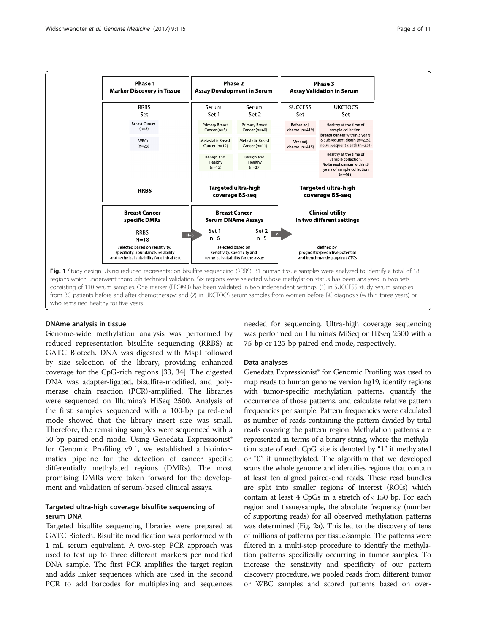<span id="page-2-0"></span>

## DNAme analysis in tissue

Genome-wide methylation analysis was performed by reduced representation bisulfite sequencing (RRBS) at GATC Biotech. DNA was digested with MspI followed by size selection of the library, providing enhanced coverage for the CpG-rich regions [\[33](#page-9-0), [34](#page-9-0)]. The digested DNA was adapter-ligated, bisulfite-modified, and polymerase chain reaction (PCR)-amplified. The libraries were sequenced on Illumina's HiSeq 2500. Analysis of the first samples sequenced with a 100-bp paired-end mode showed that the library insert size was small. Therefore, the remaining samples were sequenced with a 50-bp paired-end mode. Using Genedata Expressionist® for Genomic Profiling v9.1, we established a bioinformatics pipeline for the detection of cancer specific differentially methylated regions (DMRs). The most promising DMRs were taken forward for the development and validation of serum-based clinical assays.

# Targeted ultra-high coverage bisulfite sequencing of serum DNA

Targeted bisulfite sequencing libraries were prepared at GATC Biotech. Bisulfite modification was performed with 1 mL serum equivalent. A two-step PCR approach was used to test up to three different markers per modified DNA sample. The first PCR amplifies the target region and adds linker sequences which are used in the second PCR to add barcodes for multiplexing and sequences needed for sequencing. Ultra-high coverage sequencing was performed on Illumina's MiSeq or HiSeq 2500 with a 75-bp or 125-bp paired-end mode, respectively.

## Data analyses

Genedata Expressionist® for Genomic Profiling was used to map reads to human genome version hg19, identify regions with tumor-specific methylation patterns, quantify the occurrence of those patterns, and calculate relative pattern frequencies per sample. Pattern frequencies were calculated as number of reads containing the pattern divided by total reads covering the pattern region. Methylation patterns are represented in terms of a binary string, where the methylation state of each CpG site is denoted by "1" if methylated or "0" if unmethylated. The algorithm that we developed scans the whole genome and identifies regions that contain at least ten aligned paired-end reads. These read bundles are split into smaller regions of interest (ROIs) which contain at least 4 CpGs in a stretch of < 150 bp. For each region and tissue/sample, the absolute frequency (number of supporting reads) for all observed methylation patterns was determined (Fig. [2a](#page-3-0)). This led to the discovery of tens of millions of patterns per tissue/sample. The patterns were filtered in a multi-step procedure to identify the methylation patterns specifically occurring in tumor samples. To increase the sensitivity and specificity of our pattern discovery procedure, we pooled reads from different tumor or WBC samples and scored patterns based on over-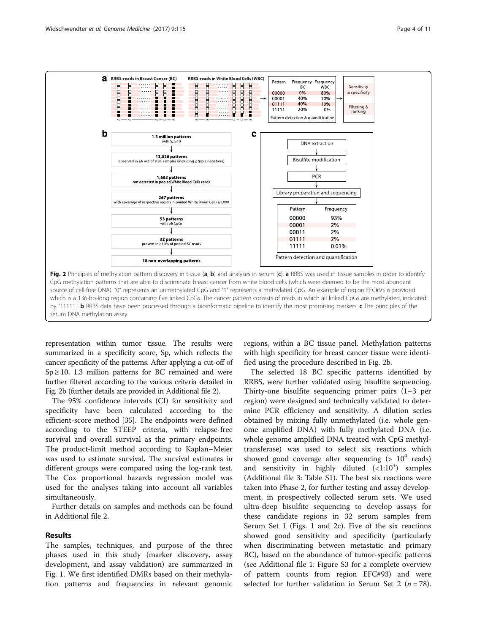<span id="page-3-0"></span>

representation within tumor tissue. The results were summarized in a specificity score, Sp, which reflects the cancer specificity of the patterns. After applying a cut-off of  $Sp \geq 10$ , 1.3 million patterns for BC remained and were further filtered according to the various criteria detailed in Fig. 2b (further details are provided in Additional file [2](#page-8-0)).

The 95% confidence intervals (CI) for sensitivity and specificity have been calculated according to the efficient-score method [[35](#page-9-0)]. The endpoints were defined according to the STEEP criteria, with relapse-free survival and overall survival as the primary endpoints. The product-limit method according to Kaplan–Meier was used to estimate survival. The survival estimates in different groups were compared using the log-rank test. The Cox proportional hazards regression model was used for the analyses taking into account all variables simultaneously.

Further details on samples and methods can be found in Additional file [2.](#page-8-0)

# Results

The samples, techniques, and purpose of the three phases used in this study (marker discovery, assay development, and assay validation) are summarized in Fig. [1](#page-2-0). We first identified DMRs based on their methylation patterns and frequencies in relevant genomic regions, within a BC tissue panel. Methylation patterns with high specificity for breast cancer tissue were identified using the procedure described in Fig. 2b.

The selected 18 BC specific patterns identified by RRBS, were further validated using bisulfite sequencing. Thirty-one bisulfite sequencing primer pairs (1–3 per region) were designed and technically validated to determine PCR efficiency and sensitivity. A dilution series obtained by mixing fully unmethylated (i.e. whole genome amplified DNA) with fully methylated DNA (i.e. whole genome amplified DNA treated with CpG methyltransferase) was used to select six reactions which showed good coverage after sequencing  $(> 10<sup>4</sup>$  reads) and sensitivity in highly diluted  $(.1:10<sup>4</sup>)$  samples (Additional file [3](#page-8-0): Table S1). The best six reactions were taken into Phase 2, for further testing and assay development, in prospectively collected serum sets. We used ultra-deep bisulfite sequencing to develop assays for these candidate regions in 32 serum samples from Serum Set 1 (Figs. [1](#page-2-0) and 2c). Five of the six reactions showed good sensitivity and specificity (particularly when discriminating between metastatic and primary BC), based on the abundance of tumor-specific patterns (see Additional file [1:](#page-8-0) Figure S3 for a complete overview of pattern counts from region EFC#93) and were selected for further validation in Serum Set 2 ( $n = 78$ ).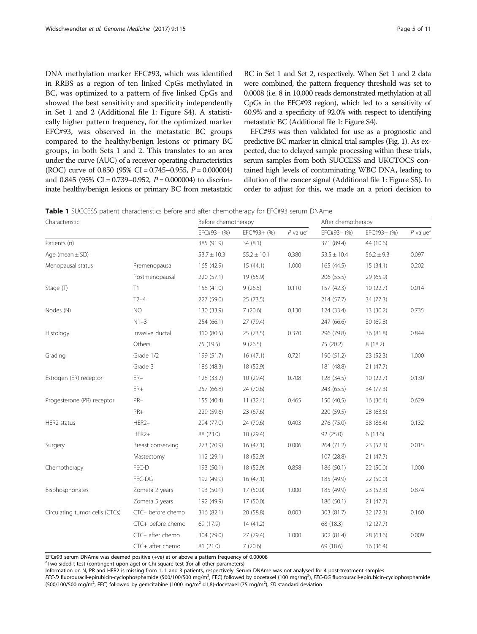<span id="page-4-0"></span>DNA methylation marker EFC#93, which was identified in RRBS as a region of ten linked CpGs methylated in BC, was optimized to a pattern of five linked CpGs and showed the best sensitivity and specificity independently in Set 1 and 2 (Additional file [1:](#page-8-0) Figure S4). A statistically higher pattern frequency, for the optimized marker EFC#93, was observed in the metastatic BC groups compared to the healthy/benign lesions or primary BC groups, in both Sets 1 and 2. This translates to an area under the curve (AUC) of a receiver operating characteristics (ROC) curve of 0.850 (95% CI = 0.745–0.955,  $P = 0.000004$ ) and 0.845 (95% CI = 0.739–0.952,  $P = 0.000004$ ) to discriminate healthy/benign lesions or primary BC from metastatic

BC in Set 1 and Set 2, respectively. When Set 1 and 2 data were combined, the pattern frequency threshold was set to 0.0008 (i.e. 8 in 10,000 reads demonstrated methylation at all CpGs in the EFC#93 region), which led to a sensitivity of 60.9% and a specificity of 92.0% with respect to identifying metastatic BC (Additional file [1:](#page-8-0) Figure S4).

EFC#93 was then validated for use as a prognostic and predictive BC marker in clinical trial samples (Fig. [1\)](#page-2-0). As expected, due to delayed sample processing within these trials, serum samples from both SUCCESS and UKCTOCS contained high levels of contaminating WBC DNA, leading to dilution of the cancer signal (Additional file [1](#page-8-0): Figure S5). In order to adjust for this, we made an a priori decision to

**Table 1** SUCCESS patient characteristics before and after chemotherapy for EFC#93 serum DNAme

| Characteristic                 |                   | Before chemotherapy |                 |                        | After chemotherapy |                |                        |
|--------------------------------|-------------------|---------------------|-----------------|------------------------|--------------------|----------------|------------------------|
|                                |                   | EFC#93- (%)         | EFC#93+ (%)     | $P$ value <sup>a</sup> | EFC#93-(%)         | EFC#93+ (%)    | $P$ value <sup>a</sup> |
| Patients (n)                   |                   | 385 (91.9)          | 34(8.1)         |                        | 371 (89.4)         | 44 (10.6)      |                        |
| Age (mean $\pm$ SD)            |                   | $53.7 \pm 10.3$     | $55.2 \pm 10.1$ | 0.380                  | $53.5 \pm 10.4$    | $56.2 \pm 9.3$ | 0.097                  |
| Menopausal status              | Premenopausal     | 165 (42.9)          | 15(44.1)        | 1.000                  | 165(44.5)          | 15 (34.1)      | 0.202                  |
|                                | Postmenopausal    | 220 (57.1)          | 19 (55.9)       |                        | 206 (55.5)         | 29 (65.9)      |                        |
| Stage (T)                      | T1                | 158 (41.0)          | 9(26.5)         | 0.110                  | 157 (42.3)         | 10(22.7)       | 0.014                  |
|                                | $T2-4$            | 227 (59.0)          | 25 (73.5)       |                        | 214 (57.7)         | 34 (77.3)      |                        |
| Nodes (N)                      | <b>NO</b>         | 130 (33.9)          | 7(20.6)         | 0.130                  | 124 (33.4)         | 13 (30.2)      | 0.735                  |
|                                | $N1-3$            | 254 (66.1)          | 27 (79.4)       |                        | 247 (66.6)         | 30 (69.8)      |                        |
| Histology                      | Invasive ductal   | 310 (80.5)          | 25(73.5)        | 0.370                  | 296 (79.8)         | 36 (81.8)      | 0.844                  |
|                                | Others            | 75 (19.5)           | 9(26.5)         |                        | 75 (20.2)          | 8(18.2)        |                        |
| Grading                        | Grade 1/2         | 199 (51.7)          | 16(47.1)        | 0.721                  | 190 (51.2)         | 23(52.3)       | 1.000                  |
|                                | Grade 3           | 186 (48.3)          | 18 (52.9)       |                        | 181 (48.8)         | 21(47.7)       |                        |
| Estrogen (ER) receptor         | $ER-$             | 128 (33.2)          | 10 (29.4)       | 0.708                  | 128 (34.5)         | 10(22.7)       | 0.130                  |
|                                | $ER+$             | 257 (66.8)          | 24 (70.6)       |                        | 243 (65.5)         | 34 (77.3)      |                        |
| Progesterone (PR) receptor     | PR-               | 155 (40.4)          | 11(32.4)        | 0.465                  | 150 (40,5)         | 16(36.4)       | 0.629                  |
|                                | PR+               | 229 (59.6)          | 23 (67.6)       |                        | 220 (59.5)         | 28 (63.6)      |                        |
| HER2 status                    | HER2-             | 294 (77.0)          | 24 (70.6)       | 0.403                  | 276 (75.0)         | 38 (86.4)      | 0.132                  |
|                                | HER2+             | 88 (23.0)           | 10 (29.4)       |                        | 92(25.0)           | 6(13.6)        |                        |
| Surgery                        | Breast conserving | 273 (70.9)          | 16(47.1)        | 0.006                  | 264 (71.2)         | 23(52.3)       | 0.015                  |
|                                | Mastectomy        | 112 (29.1)          | 18 (52.9)       |                        | 107 (28.8)         | 21(47.7)       |                        |
| Chemotherapy                   | FEC-D             | 193 (50.1)          | 18 (52.9)       | 0.858                  | 186 (50.1)         | 22(50.0)       | 1.000                  |
|                                | FEC-DG            | 192 (49.9)          | 16(47.1)        |                        | 185 (49.9)         | 22 (50.0)      |                        |
| Bisphosphonates                | Zometa 2 years    | 193 (50.1)          | 17 (50.0)       | 1.000                  | 185 (49.9)         | 23(52.3)       | 0.874                  |
|                                | Zometa 5 years    | 192 (49.9)          | 17 (50.0)       |                        | 186 (50.1)         | 21(47.7)       |                        |
| Circulating tumor cells (CTCs) | CTC- before chemo | 316 (82.1)          | 20 (58.8)       | 0.003                  | 303 (81.7)         | 32 (72.3)      | 0.160                  |
|                                | CTC+ before chemo | 69 (17.9)           | 14(41.2)        |                        | 68 (18.3)          | 12(27.7)       |                        |
|                                | CTC- after chemo  | 304 (79.0)          | 27 (79.4)       | 1.000                  | 302 (81.4)         | 28 (63.6)      | 0.009                  |
|                                | CTC+ after chemo  | 81 (21.0)           | 7(20.6)         |                        | 69 (18.6)          | 16 (36.4)      |                        |

EFC#93 serum DNAme was deemed positive (+ve) at or above a pattern frequency of 0.00008

<sup>a</sup>Two-sided t-test (contingent upon age) or Chi-square test (for all other parameters)

Information on N, PR and HER2 is missing from 1, 1 and 3 patients, respectively. Serum DNAme was not analysed for 4 post-treatment samples

FEC-D fluorouracil-epirubicin-cyclophosphamide (500/100/500 mg/m<sup>2</sup>, FEC) followed by docetaxel (100 mg/mg<sup>2</sup>), FEC-DG fluorouracil-epirubicin-cyclophosphamide (500/100/500 mg/m<sup>2</sup>, FEC) followed by gemcitabine (1000 mg/m<sup>2</sup> d1,8)-docetaxel (75 mg/m<sup>2</sup>), SD standard deviation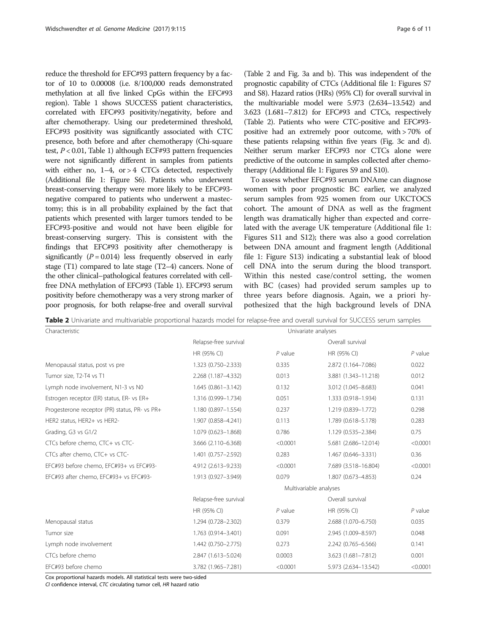reduce the threshold for EFC#93 pattern frequency by a factor of 10 to 0.00008 (i.e. 8/100,000 reads demonstrated methylation at all five linked CpGs within the EFC#93 region). Table [1](#page-4-0) shows SUCCESS patient characteristics, correlated with EFC#93 positivity/negativity, before and after chemotherapy. Using our predetermined threshold, EFC#93 positivity was significantly associated with CTC presence, both before and after chemotherapy (Chi-square test, P < 0.01, Table [1\)](#page-4-0) although ECF#93 pattern frequencies were not significantly different in samples from patients with either no,  $1-4$ , or  $> 4$  CTCs detected, respectively (Additional file [1](#page-8-0): Figure S6). Patients who underwent breast-conserving therapy were more likely to be EFC#93 negative compared to patients who underwent a mastectomy; this is in all probability explained by the fact that patients which presented with larger tumors tended to be EFC#93-positive and would not have been eligible for breast-conserving surgery. This is consistent with the findings that EFC#93 positivity after chemotherapy is significantly  $(P = 0.014)$  less frequently observed in early stage (T1) compared to late stage (T2–4) cancers. None of the other clinical–pathological features correlated with cellfree DNA methylation of EFC#93 (Table [1](#page-4-0)). EFC#93 serum positivity before chemotherapy was a very strong marker of poor prognosis, for both relapse-free and overall survival

(Table 2 and Fig. [3a and b\)](#page-6-0). This was independent of the prognostic capability of CTCs (Additional file [1](#page-8-0): Figures S7 and S8). Hazard ratios (HRs) (95% CI) for overall survival in the multivariable model were 5.973 (2.634–13.542) and 3.623 (1.681–7.812) for EFC#93 and CTCs, respectively (Table 2). Patients who were CTC-positive and EFC#93 positive had an extremely poor outcome, with > 70% of these patients relapsing within five years (Fig. [3c and d](#page-6-0)). Neither serum marker EFC#93 nor CTCs alone were predictive of the outcome in samples collected after chemotherapy (Additional file [1](#page-8-0): Figures S9 and S10).

To assess whether EFC#93 serum DNAme can diagnose women with poor prognostic BC earlier, we analyzed serum samples from 925 women from our UKCTOCS cohort. The amount of DNA as well as the fragment length was dramatically higher than expected and correlated with the average UK temperature (Additional file [1](#page-8-0): Figures S11 and S12); there was also a good correlation between DNA amount and fragment length (Additional file [1:](#page-8-0) Figure S13) indicating a substantial leak of blood cell DNA into the serum during the blood transport. Within this nested case/control setting, the women with BC (cases) had provided serum samples up to three years before diagnosis. Again, we a priori hypothesized that the high background levels of DNA

| Table 2 Univariate and multivariable proportional hazards model for relapse-free and overall survival for SUCCESS serum samples |                        |           |                      |           |  |  |  |
|---------------------------------------------------------------------------------------------------------------------------------|------------------------|-----------|----------------------|-----------|--|--|--|
| Characteristic                                                                                                                  | Univariate analyses    |           |                      |           |  |  |  |
|                                                                                                                                 | Relapse-free survival  |           | Overall survival     |           |  |  |  |
|                                                                                                                                 | HR (95% CI)            | $P$ value | HR (95% CI)          | $P$ value |  |  |  |
| Menopausal status, post vs pre                                                                                                  | 1.323 (0.750-2.333)    | 0.335     | 2.872 (1.164-7.086)  | 0.022     |  |  |  |
| Tumor size, T2-T4 vs T1                                                                                                         | 2.268 (1.187-4.332)    | 0.013     | 3.881 (1.343-11.218) | 0.012     |  |  |  |
| Lymph node involvement, N1-3 vs N0                                                                                              | 1.645 (0.861-3.142)    | 0.132     | 3.012 (1.045-8.683)  | 0.041     |  |  |  |
| Estrogen receptor (ER) status, ER- vs ER+                                                                                       | 1.316 (0.999-1.734)    | 0.051     | 1.333 (0.918-1.934)  | 0.131     |  |  |  |
| Progesterone receptor (PR) status, PR- vs PR+                                                                                   | 1.180 (0.897-1.554)    | 0.237     | 1.219 (0.839-1.772)  | 0.298     |  |  |  |
| HER2 status, HER2+ vs HER2-                                                                                                     | 1.907 (0.858-4.241)    | 0.113     | 1.789 (0.618-5.178)  | 0.283     |  |  |  |
| Grading, G3 vs G1/2                                                                                                             | 1.079 (0.623-1.868)    | 0.786     | 1.129 (0.535-2.384)  | 0.75      |  |  |  |
| CTCs before chemo, CTC+ vs CTC-                                                                                                 | 3.666 (2.110-6.368)    | < 0.0001  | 5.681 (2.686-12.014) | < 0.0001  |  |  |  |
| CTCs after chemo, CTC+ vs CTC-                                                                                                  | 1.401 (0.757-2.592)    | 0.283     | 1.467 (0.646-3.331)  | 0.36      |  |  |  |
| EFC#93 before chemo, EFC#93+ vs EFC#93-                                                                                         | 4.912 (2.613-9.233)    | < 0.0001  | 7.689 (3.518-16.804) | < 0.0001  |  |  |  |
| EFC#93 after chemo, EFC#93+ vs EFC#93-                                                                                          | 1.913 (0.927-3.949)    | 0.079     | 1.807 (0.673-4.853)  | 0.24      |  |  |  |
|                                                                                                                                 | Multivariable analyses |           |                      |           |  |  |  |
|                                                                                                                                 | Relapse-free survival  |           | Overall survival     |           |  |  |  |
|                                                                                                                                 | HR (95% CI)            | $P$ value | HR (95% CI)          | $P$ value |  |  |  |
| Menopausal status                                                                                                               | 1.294 (0.728-2.302)    | 0.379     | 2.688 (1.070-6.750)  | 0.035     |  |  |  |
| Tumor size                                                                                                                      | 1.763 (0.914-3.401)    | 0.091     | 2.945 (1.009-8.597)  | 0.048     |  |  |  |
| Lymph node involvement                                                                                                          | 1.442 (0.750-2.775)    | 0.273     | 2.242 (0.765-6.566)  | 0.141     |  |  |  |
| CTCs before chemo                                                                                                               | 2.847 (1.613-5.024)    | 0.0003    | 3.623 (1.681-7.812)  | 0.001     |  |  |  |
| EFC#93 before chemo                                                                                                             | 3.782 (1.965-7.281)    | < 0.0001  | 5.973 (2.634-13.542) | < 0.0001  |  |  |  |

Cox proportional hazards models. All statistical tests were two-sided

CI confidence interval, CTC circulating tumor cell, HR hazard ratio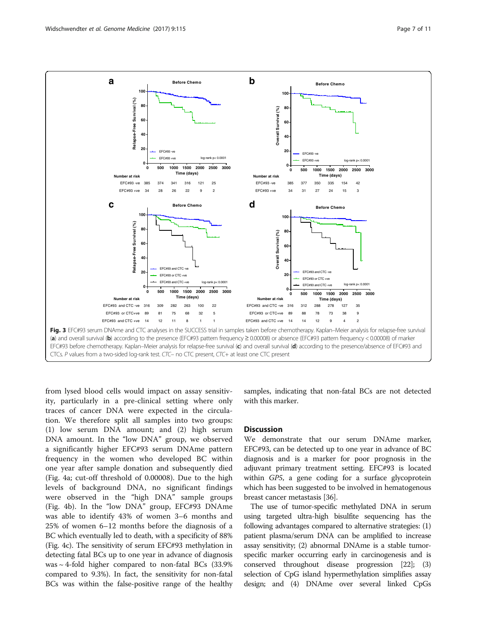<span id="page-6-0"></span>

from lysed blood cells would impact on assay sensitivity, particularly in a pre-clinical setting where only traces of cancer DNA were expected in the circulation. We therefore split all samples into two groups: (1) low serum DNA amount; and (2) high serum DNA amount. In the "low DNA" group, we observed a significantly higher EFC#93 serum DNAme pattern frequency in the women who developed BC within one year after sample donation and subsequently died (Fig. [4a](#page-7-0); cut-off threshold of 0.00008). Due to the high levels of background DNA, no significant findings were observed in the "high DNA" sample groups (Fig. [4b\)](#page-7-0). In the "low DNA" group, EFC#93 DNAme was able to identify 43% of women 3–6 months and 25% of women 6–12 months before the diagnosis of a BC which eventually led to death, with a specificity of 88% (Fig. [4c\)](#page-7-0). The sensitivity of serum EFC#93 methylation in detecting fatal BCs up to one year in advance of diagnosis was ~ 4-fold higher compared to non-fatal BCs (33.9% compared to 9.3%). In fact, the sensitivity for non-fatal BCs was within the false-positive range of the healthy samples, indicating that non-fatal BCs are not detected with this marker.

# **Discussion**

We demonstrate that our serum DNAme marker, EFC#93, can be detected up to one year in advance of BC diagnosis and is a marker for poor prognosis in the adjuvant primary treatment setting. EFC#93 is located within GP5, a gene coding for a surface glycoprotein which has been suggested to be involved in hematogenous breast cancer metastasis [[36\]](#page-9-0).

The use of tumor-specific methylated DNA in serum using targeted ultra-high bisulfite sequencing has the following advantages compared to alternative strategies: (1) patient plasma/serum DNA can be amplified to increase assay sensitivity; (2) abnormal DNAme is a stable tumorspecific marker occurring early in carcinogenesis and is conserved throughout disease progression [\[22\]](#page-9-0); (3) selection of CpG island hypermethylation simplifies assay design; and (4) DNAme over several linked CpGs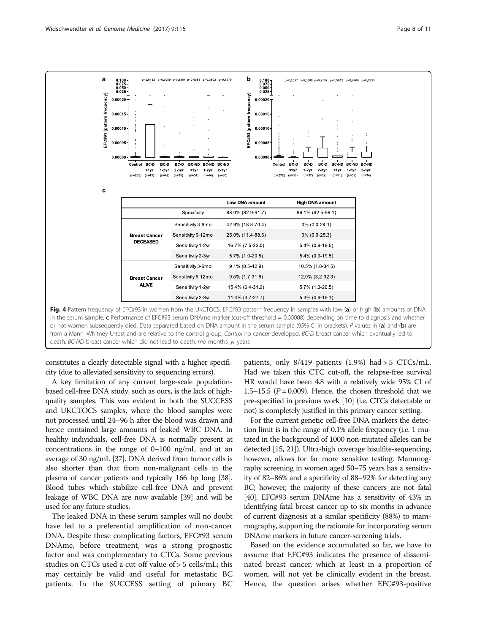<span id="page-7-0"></span>

or not women subsequently died. Data separated based on DNA amount in the serum sample (95% CI in brackets). P values in (a) and (b) are from a Mann–Whitney U-test and are relative to the control group. Control no cancer developed, BC-D breast cancer which eventually led to death, BC-ND breast cancer which did not lead to death, mo months, yr years

constitutes a clearly detectable signal with a higher specificity (due to alleviated sensitivity to sequencing errors).

A key limitation of any current large-scale populationbased cell-free DNA study, such as ours, is the lack of highquality samples. This was evident in both the SUCCESS and UKCTOCS samples, where the blood samples were not processed until 24–96 h after the blood was drawn and hence contained large amounts of leaked WBC DNA. In healthy individuals, cell-free DNA is normally present at concentrations in the range of 0–100 ng/mL and at an average of 30 ng/mL [\[37\]](#page-9-0). DNA derived from tumor cells is also shorter than that from non-malignant cells in the plasma of cancer patients and typically 166 bp long [\[38](#page-9-0)]. Blood tubes which stabilize cell-free DNA and prevent leakage of WBC DNA are now available [[39](#page-10-0)] and will be used for any future studies.

The leaked DNA in these serum samples will no doubt have led to a preferential amplification of non-cancer DNA. Despite these complicating factors, EFC#93 serum DNAme, before treatment, was a strong prognostic factor and was complementary to CTCs. Some previous studies on CTCs used a cut-off value of > 5 cells/mL; this may certainly be valid and useful for metastatic BC patients. In the SUCCESS setting of primary BC

patients, only  $8/419$  patients (1.9%) had > 5 CTCs/mL. Had we taken this CTC cut-off, the relapse-free survival HR would have been 4.8 with a relatively wide 95% CI of 1.5–15.5 ( $P = 0.009$ ). Hence, the chosen threshold that we pre-specified in previous work [\[10](#page-9-0)] (i.e. CTCs detectable or not) is completely justified in this primary cancer setting.

For the current genetic cell-free DNA markers the detection limit is in the range of 0.1% allele frequency (i.e. 1 mutated in the background of 1000 non-mutated alleles can be detected [[15, 21](#page-9-0)]). Ultra-high coverage bisulfite-sequencing, however, allows for far more sensitive testing. Mammography screening in women aged 50–75 years has a sensitivity of 82–86% and a specificity of 88–92% for detecting any BC; however, the majority of these cancers are not fatal [[40](#page-10-0)]. EFC#93 serum DNAme has a sensitivity of 43% in identifying fatal breast cancer up to six months in advance of current diagnosis at a similar specificity (88%) to mammography, supporting the rationale for incorporating serum DNAme markers in future cancer-screening trials.

Based on the evidence accumulated so far, we have to assume that EFC#93 indicates the presence of disseminated breast cancer, which at least in a proportion of women, will not yet be clinically evident in the breast. Hence, the question arises whether EFC#93-positive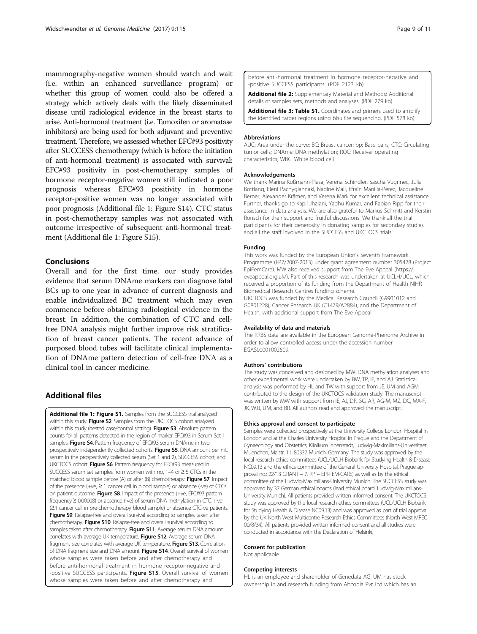<span id="page-8-0"></span>mammography-negative women should watch and wait (i.e. within an enhanced surveillance program) or whether this group of women could also be offered a strategy which actively deals with the likely disseminated disease until radiological evidence in the breast starts to arise. Anti-hormonal treatment (i.e. Tamoxifen or aromatase inhibitors) are being used for both adjuvant and preventive treatment. Therefore, we assessed whether EFC#93 positivity after SUCCESS chemotherapy (which is before the initiation of anti-hormonal treatment) is associated with survival: EFC#93 positivity in post-chemotherapy samples of hormone receptor-negative women still indicated a poor prognosis whereas EFC#93 positivity in hormone receptor-positive women was no longer associated with poor prognosis (Additional file 1: Figure S14). CTC status in post-chemotherapy samples was not associated with outcome irrespective of subsequent anti-hormonal treatment (Additional file 1: Figure S15).

# Conclusions

Overall and for the first time, our study provides evidence that serum DNAme markers can diagnose fatal BCs up to one year in advance of current diagnosis and enable individualized BC treatment which may even commence before obtaining radiological evidence in the breast. In addition, the combination of CTC and cellfree DNA analysis might further improve risk stratification of breast cancer patients. The recent advance of purposed blood tubes will facilitate clinical implementation of DNAme pattern detection of cell-free DNA as a clinical tool in cancer medicine.

# Additional files

[Additional file 1: Figure S1.](dx.doi.org/10.1186/s13073-017-0499-9) Samples from the SUCCESS trial analyzed within this study. Figure S2. Samples from the UKCTOCS cohort analyzed within this study (nested case/control setting). Figure S3. Absolute pattern counts for all patterns detected in the region of marker EFC#93 in Serum Set 1 samples. Figure S4. Pattern frequency of EFC#93 serum DNAme in two prospectively independently collected cohorts. Figure S5. DNA amount per mL serum in the prospectively collected serum (Set 1 and 2), SUCCESS cohort, and UKCTOCS cohort. Figure S6. Pattern frequency for EFC#93 measured in SUCCESS serum set samples from women with no, 1–4 or ≥5 CTCs in the matched blood sample before (A) or after (B) chemotherapy. Figure S7. Impact of the presence (+ve, ≥ 1 cancer cell in blood sample) or absence (-ve) of CTCs on patient outcome. Figure S8. Impact of the presence (+ve, EFC#93 pattern frequency  $\geq$  0.00008) or absence (-ve) of serum DNA methylation in CTC + ve (≥1 cancer cell in pre-chemotherapy blood sample) or absence CTC-ve patients. Figure S9. Relapse-free and overall survival according to samples taken after chemotherapy. Figure S10. Relapse-free and overall survival according to samples taken after chemotherapy. Figure S11. Average serum DNA amount correlates with average UK temperature. Figure S12. Average serum DNA fragment size correlates with average UK temperature. Figure S13. Correlation of DNA fragment size and DNA amount. Figure S14. Overall survival of women whose samples were taken before and after chemotherapy and before anti-hormonal treatment in hormone receptor-negative and -positive SUCCESS participants. Figure S15. Overall survival of women whose samples were taken before and after chemotherapy and

before anti-hormonal treatment in hormone receptor-negative and -positive SUCCESS participants. (PDF 2123 kb)

[Additional file 2:](dx.doi.org/10.1186/s13073-017-0499-9) Supplementary Material and Methods: Additional details of samples sets, methods and analyses. (PDF 279 kb)

[Additional file 3: Table S1.](dx.doi.org/10.1186/s13073-017-0499-9) Coordinates and primers used to amplify the identified target regions using bisulfite sequencing. (PDF 578 kb)

#### Abbreviations

AUC: Area under the curve; BC: Breast cancer; bp: Base pairs; CTC: Circulating tumor cells; DNAme: DNA methylation; ROC: Receiver operating characteristics; WBC: White blood cell

#### Acknowledgements

We thank Marina Koßmann-Plasa, Verena Schindler, Sascha Vugrinec, Julia Bottlang, Eleni Pachygiannaki, Nadine Mall, Efrain Manilla-Pérez, Jacqueline Berner, Alexander Krämer, and Verena Mark for excellent technical assistance. Further, thanks go to Kapil Jhalani, Yadhu Kumar, and Fabian Ripp for their assistance in data analysis. We are also grateful to Markus Schmitt and Kerstin Rönsch for their support and fruitful discussions. We thank all the trial participants for their generosity in donating samples for secondary studies and all the staff involved in the SUCCESS and UKCTOCS trials.

#### Funding

This work was funded by the European Union's Seventh Framework Programme (FP7/2007-2013) under grant agreement number 305428 (Project EpiFemCare). MW also received support from The Eve Appeal [\(https://](https://eveappeal.org.uk/) [eveappeal.org.uk/\)](https://eveappeal.org.uk/). Part of this research was undertaken at UCLH/UCL, which received a proportion of its funding from the Department of Health NIHR Biomedical Research Centres funding scheme.

UKCTOCS was funded by the Medical Research Council (G9901012 and G0801228), Cancer Research UK (C1479/A2884), and the Department of Health, with additional support from The Eve Appeal.

## Availability of data and materials

The RRBS data are available in the European Genome-Phenome Archive in order to allow controlled access under the accession number EGAS00001002609.

#### Authors' contributions

The study was conceived and designed by MW. DNA methylation analyses and other experimental work were undertaken by BW, TP, IE, and AJ. Statistical analysis was performed by HL and TW with support from JE. UM and AGM contributed to the design of the UKCTOCS validation study. The manuscript was written by MW with support from IE, AJ, DR, SG, AR, AG-M, MZ, DC, MA-F, JK, WJJ, UM, and BR. All authors read and approved the manuscript.

## Ethics approval and consent to participate

Samples were collected prospectively at the University College London Hospital in London and at the Charles University Hospital in Prague and the Department of Gynaecology and Obstetrics, Klinikum Innenstadt, Ludwig-Maximilians-Universitaet Muenchen, Maistr. 11, 80337 Munich, Germany. The study was approved by the local research ethics committees (UCL/UCLH Biobank for Studying Health & Disease NC09.13 and the ethics committee of the General University Hospital, Prague approval no.: 22/13 GRANT – 7. RP – EPI-FEM-CARE) as well as by the ethical committee of the Ludwig-Maximilians-University Munich. The SUCCESS study was approved by 37 German ethical boards (lead ethical board: Ludwig-Maximilians-University Munich). All patients provided written informed consent. The UKCTOCS study was approved by the local research ethics committees (UCL/UCLH Biobank for Studying Health & Disease NC09.13) and was approved as part of trial approval by the UK North West Multicentre Research Ethics Committees (North West MREC 00/8/34). All patients provided written informed consent and all studies were conducted in accordance with the Declaration of Helsinki.

#### Consent for publication

Not applicable.

#### Competing interests

HL is an employee and shareholder of Genedata AG. UM has stock ownership in and research funding from Abcodia Pvt Ltd which has an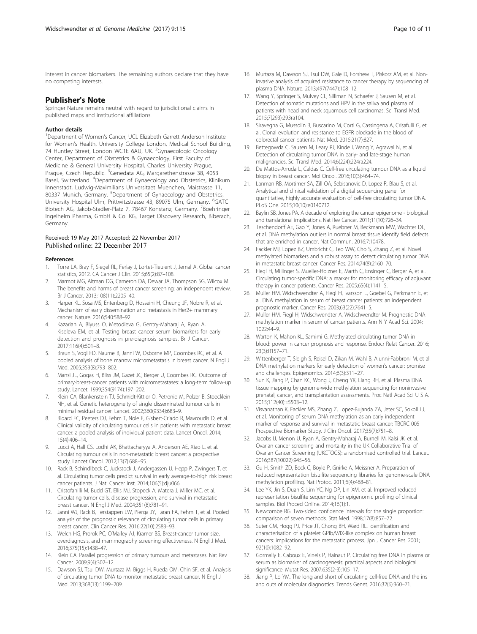<span id="page-9-0"></span>interest in cancer biomarkers. The remaining authors declare that they have no competing interests.

# Publisher's Note

Springer Nature remains neutral with regard to jurisdictional claims in published maps and institutional affiliations.

### Author details

<sup>1</sup>Department of Women's Cancer, UCL Elizabeth Garrett Anderson Institute for Women's Health, University College London, Medical School Building, 74 Huntley Street, London WC1E 6AU, UK. <sup>2</sup>Gynaecologic Oncology Center, Department of Obstetrics & Gynaecology, First Faculty of Medicine & General University Hospital, Charles University Prague, Prague, Czech Republic. <sup>3</sup>Genedata AG, Margarethenstrasse 38, 4053 Basel, Switzerland. <sup>4</sup>Department of Gynaecology and Obstetrics, Klinikum Innenstadt, Ludwig-Maximilians Universitaet Muenchen, Maistrasse 11, 80337 Munich, Germany. <sup>5</sup>Department of Gynaecology and Obstetrics, University Hospital Ulm, Prittwitzstrasse 43, 89075 Ulm, Germany. <sup>6</sup>GATC Biotech AG, Jakob-Stadler-Platz 7, 78467 Konstanz, Germany. <sup>7</sup>Boehringer Ingelheim Pharma, GmbH & Co. KG, Target Discovery Research, Biberach, Germany.

# Received: 19 May 2017 Accepted: 22 November 2017 Published online: 22 December 2017

#### References

- 1. Torre LA, Bray F, Siegel RL, Ferlay J, Lortet-Tieulent J, Jemal A. Global cancer statistics, 2012. CA Cancer J Clin. 2015;65(2):87–108.
- 2. Marmot MG, Altman DG, Cameron DA, Dewar JA, Thompson SG, Wilcox M. The benefits and harms of breast cancer screening: an independent review. Br J Cancer. 2013;108(11):2205–40.
- Harper KL, Sosa MS, Entenberg D, Hosseini H, Cheung JF, Nobre R, et al. Mechanism of early dissemination and metastasis in Her2+ mammary cancer. Nature. 2016;540:588–92.
- 4. Kazarian A, Blyuss O, Metodieva G, Gentry-Maharaj A, Ryan A, Kiseleva EM, et al. Testing breast cancer serum biomarkers for early detection and prognosis in pre-diagnosis samples. Br J Cancer. 2017;116(4):501–8.
- 5. Braun S, Vogl FD, Naume B, Janni W, Osborne MP, Coombes RC, et al. A pooled analysis of bone marrow micrometastasis in breast cancer. N Engl J Med. 2005;353(8):793–802.
- 6. Mansi JL, Gogas H, Bliss JM, Gazet JC, Berger U, Coombes RC. Outcome of primary-breast-cancer patients with micrometastases: a long-term follow-up study. Lancet. 1999;354(9174):197–202.
- Klein CA, Blankenstein TJ, Schmidt-Kittler O, Petronio M, Polzer B, Stoecklein NH, et al. Genetic heterogeneity of single disseminated tumour cells in minimal residual cancer. Lancet. 2002;360(9334):683–9.
- Bidard FC, Peeters DJ, Fehm T, Nole F, Gisbert-Criado R, Mavroudis D, et al. Clinical validity of circulating tumour cells in patients with metastatic breast cancer: a pooled analysis of individual patient data. Lancet Oncol. 2014; 15(4):406–14.
- 9. Lucci A, Hall CS, Lodhi AK, Bhattacharyya A, Anderson AE, Xiao L, et al. Circulating tumour cells in non-metastatic breast cancer: a prospective study. Lancet Oncol. 2012;13(7):688–95.
- 10. Rack B, Schindlbeck C, Juckstock J, Andergassen U, Hepp P, Zwingers T, et al. Circulating tumor cells predict survival in early average-to-high risk breast cancer patients. J Natl Cancer Inst. 2014;106(5):dju066.
- 11. Cristofanilli M, Budd GT, Ellis MJ, Stopeck A, Matera J, Miller MC, et al. Circulating tumor cells, disease progression, and survival in metastatic breast cancer. N Engl J Med. 2004;351(8):781–91.
- 12. Janni WJ, Rack B, Terstappen LW, Pierga JY, Taran FA, Fehm T, et al. Pooled analysis of the prognostic relevance of circulating tumor cells in primary breast cancer. Clin Cancer Res. 2016;22(10):2583–93.
- 13. Welch HG, Prorok PC, O'Malley AJ, Kramer BS. Breast-cancer tumor size, overdiagnosis, and mammography screening effectiveness. N Engl J Med. 2016;375(15):1438–47.
- 14. Klein CA. Parallel progression of primary tumours and metastases. Nat Rev Cancer. 2009;9(4):302–12.
- 15. Dawson SJ, Tsui DW, Murtaza M, Biggs H, Rueda OM, Chin SF, et al. Analysis of circulating tumor DNA to monitor metastatic breast cancer. N Engl J Med. 2013;368(13):1199–209.
- 16. Murtaza M, Dawson SJ, Tsui DW, Gale D, Forshew T, Piskorz AM, et al. Noninvasive analysis of acquired resistance to cancer therapy by sequencing of plasma DNA. Nature. 2013;497(7447):108–12.
- 17. Wang Y, Springer S, Mulvey CL, Silliman N, Schaefer J, Sausen M, et al. Detection of somatic mutations and HPV in the saliva and plasma of patients with head and neck squamous cell carcinomas. Sci Transl Med. 2015;7(293):293ra104.
- 18. Siravegna G, Mussolin B, Buscarino M, Corti G, Cassingena A, Crisafulli G, et al. Clonal evolution and resistance to EGFR blockade in the blood of colorectal cancer patients. Nat Med. 2015;21(7):827.
- 19. Bettegowda C, Sausen M, Leary RJ, Kinde I, Wang Y, Agrawal N, et al. Detection of circulating tumor DNA in early- and late-stage human malignancies. Sci Transl Med. 2014;6(224):224ra224.
- 20. De Mattos-Arruda L, Caldas C. Cell-free circulating tumour DNA as a liquid biopsy in breast cancer. Mol Oncol. 2016;10(3):464–74.
- 21. Lanman RB, Mortimer SA, Zill OA, Sebisanovic D, Lopez R, Blau S, et al. Analytical and clinical validation of a digital sequencing panel for quantitative, highly accurate evaluation of cell-free circulating tumor DNA. PLoS One. 2015;10(10):e0140712.
- 22. Baylin SB, Jones PA. A decade of exploring the cancer epigenome biological and translational implications. Nat Rev Cancer. 2011;11(10):726–34.
- 23. Teschendorff AE, Gao Y, Jones A, Ruebner M, Beckmann MW, Wachter DL, et al. DNA methylation outliers in normal breast tissue identify field defects that are enriched in cancer. Nat Commun. 2016;7:10478.
- 24. Fackler MJ, Lopez BZ, Umbricht C, Teo WW, Cho S, Zhang Z, et al. Novel methylated biomarkers and a robust assay to detect circulating tumor DNA in metastatic breast cancer. Cancer Res. 2014;74(8):2160–70.
- 25. Fiegl H, Millinger S, Mueller-Holzner E, Marth C, Ensinger C, Berger A, et al. Circulating tumor-specific DNA: a marker for monitoring efficacy of adjuvant therapy in cancer patients. Cancer Res. 2005;65(4):1141–5.
- 26. Muller HM, Widschwendter A, Fiegl H, Ivarsson L, Goebel G, Perkmann E, et al. DNA methylation in serum of breast cancer patients: an independent prognostic marker. Cancer Res. 2003;63(22):7641–5.
- 27. Muller HM, Fiegl H, Widschwendter A, Widschwendter M. Prognostic DNA methylation marker in serum of cancer patients. Ann N Y Acad Sci. 2004; 1022:44–9.
- 28. Warton K, Mahon KL, Samimi G. Methylated circulating tumor DNA in blood: power in cancer prognosis and response. Endocr Relat Cancer. 2016; 23(3):R157–71.
- 29. Wittenberger T, Sleigh S, Reisel D, Zikan M, Wahl B, Alunni-Fabbroni M, et al. DNA methylation markers for early detection of women's cancer: promise and challenges. Epigenomics. 2014;6(3):311–27.
- 30. Sun K, Jiang P, Chan KC, Wong J, Cheng YK, Liang RH, et al. Plasma DNA tissue mapping by genome-wide methylation sequencing for noninvasive prenatal, cancer, and transplantation assessments. Proc Natl Acad Sci U S A. 2015;112(40):E5503–12.
- 31. Visvanathan K, Fackler MS, Zhang Z, Lopez-Bujanda ZA, Jeter SC, Sokoll LJ, et al. Monitoring of serum DNA methylation as an early independent marker of response and survival in metastatic breast cancer: TBCRC 005 Prospective Biomarker Study. J Clin Oncol. 2017;35(7):751–8.
- 32. Jacobs IJ, Menon U, Ryan A, Gentry-Maharaj A, Burnell M, Kalsi JK, et al. Ovarian cancer screening and mortality in the UK Collaborative Trial of Ovarian Cancer Screening (UKCTOCS): a randomised controlled trial. Lancet. 2016;387(10022):945–56.
- 33. Gu H, Smith ZD, Bock C, Boyle P, Gnirke A, Meissner A. Preparation of reduced representation bisulfite sequencing libraries for genome-scale DNA methylation profiling. Nat Protoc. 2011;6(4):468–81.
- 34. Lee YK, Jin S, Duan S, Lim YC, Ng DP, Lin XM, et al. Improved reduced representation bisulfite sequencing for epigenomic profiling of clinical samples. Biol Proced Online. 2014;16(1):1.
- 35. Newcombe RG. Two-sided confidence intervals for the single proportion: comparison of seven methods. Stat Med. 1998;17(8):857–72.
- 36. Suter CM, Hogg PJ, Price JT, Chong BH, Ward RL. Identification and characterisation of a platelet GPIb/V/IX-like complex on human breast cancers: implications for the metastatic process. Jpn J Cancer Res. 2001; 92(10):1082–92.
- 37. Gormally E, Caboux E, Vineis P, Hainaut P. Circulating free DNA in plasma or serum as biomarker of carcinogenesis: practical aspects and biological significance. Mutat Res. 2007;635(2-3):105–17.
- 38. Jiang P, Lo YM. The long and short of circulating cell-free DNA and the ins and outs of molecular diagnostics. Trends Genet. 2016;32(6):360–71.